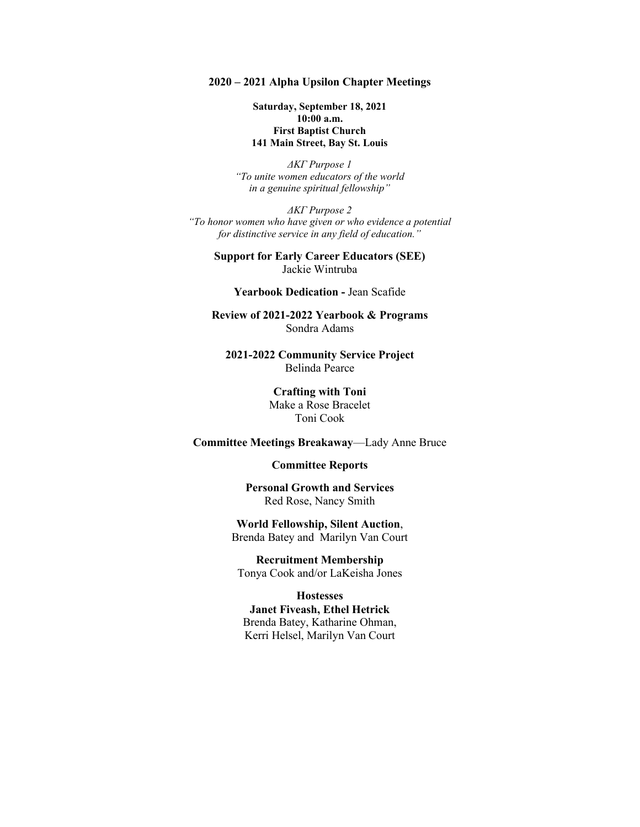#### **2020 – 2021 Alpha Upsilon Chapter Meetings**

**Saturday, September 18, 2021 10:00 a.m. First Baptist Church 141 Main Street, Bay St. Louis**

*ΔΚΓ Purpose 1 "To unite women educators of the world in a genuine spiritual fellowship"*

*ΔΚΓ Purpose 2 "To honor women who have given or who evidence a potential for distinctive service in any field of education."*

> **Support for Early Career Educators (SEE)** Jackie Wintruba

### **Yearbook Dedication -** Jean Scafide

**Review of 2021-2022 Yearbook & Programs** Sondra Adams

**2021-2022 Community Service Project** Belinda Pearce

> **Crafting with Toni** Make a Rose Bracelet Toni Cook

### **Committee Meetings Breakaway**—Lady Anne Bruce

## **Committee Reports**

**Personal Growth and Services** Red Rose, Nancy Smith

**World Fellowship, Silent Auction**, Brenda Batey and Marilyn Van Court

**Recruitment Membership** Tonya Cook and/or LaKeisha Jones

#### **Hostesses**

**Janet Fiveash, Ethel Hetrick** Brenda Batey, Katharine Ohman, Kerri Helsel, Marilyn Van Court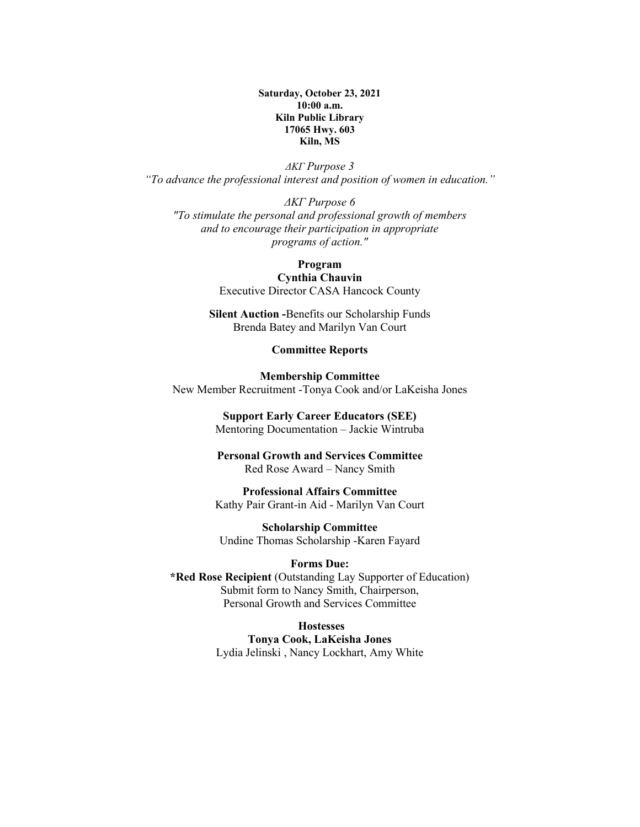**Saturday, October 23, 2021 10:00 a.m. Kiln Public Library 17065 Hwy. 603 Kiln, MS**

*ΔΚΓ Purpose 3 "To advance the professional interest and position of women in education."*

*ΔΚΓ Purpose 6 "To stimulate the personal and professional growth of members and to encourage their participation in appropriate programs of action."*

## **Program**

**Cynthia Chauvin** Executive Director CASA Hancock County

**Silent Auction -**Benefits our Scholarship Funds Brenda Batey and Marilyn Van Court

# **Committee Reports**

**Membership Committee** New Member Recruitment -Tonya Cook and/or LaKeisha Jones

#### **Support Early Career Educators (SEE)**

Mentoring Documentation – Jackie Wintruba

## **Personal Growth and Services Committee** Red Rose Award – Nancy Smith

## **Professional Affairs Committee** Kathy Pair Grant-in Aid - Marilyn Van Court

**Scholarship Committee** Undine Thomas Scholarship -Karen Fayard

## **Forms Due:**

**\*Red Rose Recipient** (Outstanding Lay Supporter of Education) Submit form to Nancy Smith, Chairperson, Personal Growth and Services Committee

**Hostesses**

**Tonya Cook, LaKeisha Jones** Lydia Jelinski , Nancy Lockhart, Amy White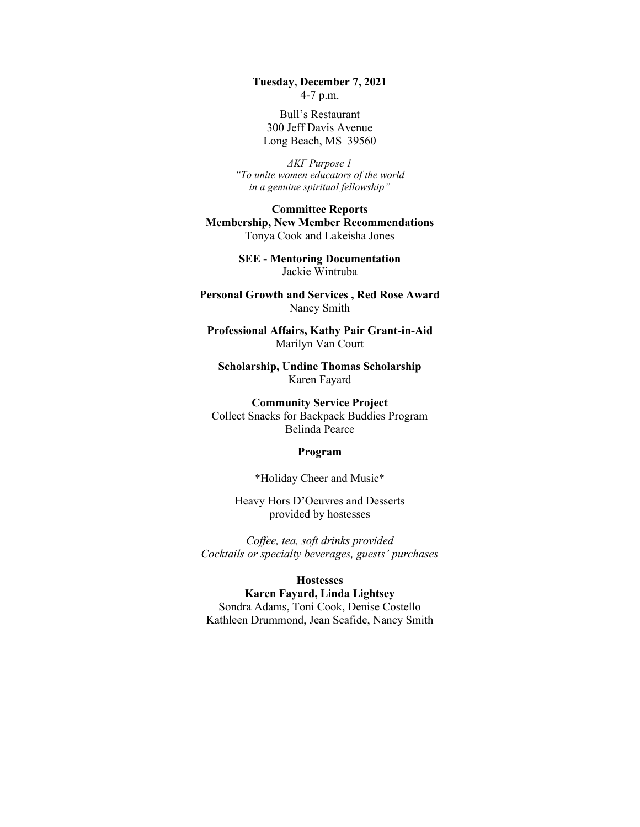**Tuesday, December 7, 2021** 4-7 p.m.

Bull's Restaurant 300 Jeff Davis Avenue Long Beach, MS 39560

*ΔΚΓ Purpose 1 "To unite women educators of the world in a genuine spiritual fellowship"*

**Committee Reports Membership, New Member Recommendations** Tonya Cook and Lakeisha Jones

> **SEE - Mentoring Documentation**  Jackie Wintruba

**Personal Growth and Services , Red Rose Award** Nancy Smith

**Professional Affairs, Kathy Pair Grant-in-Aid** Marilyn Van Court

**Scholarship, Undine Thomas Scholarship** Karen Fayard

**Community Service Project** Collect Snacks for Backpack Buddies Program Belinda Pearce

#### **Program**

\*Holiday Cheer and Music\*

Heavy Hors D'Oeuvres and Desserts provided by hostesses

*Coffee, tea, soft drinks provided Cocktails or specialty beverages, guests' purchases*

### **Hostesses**

**Karen Fayard, Linda Lightsey** Sondra Adams, Toni Cook, Denise Costello Kathleen Drummond, Jean Scafide, Nancy Smith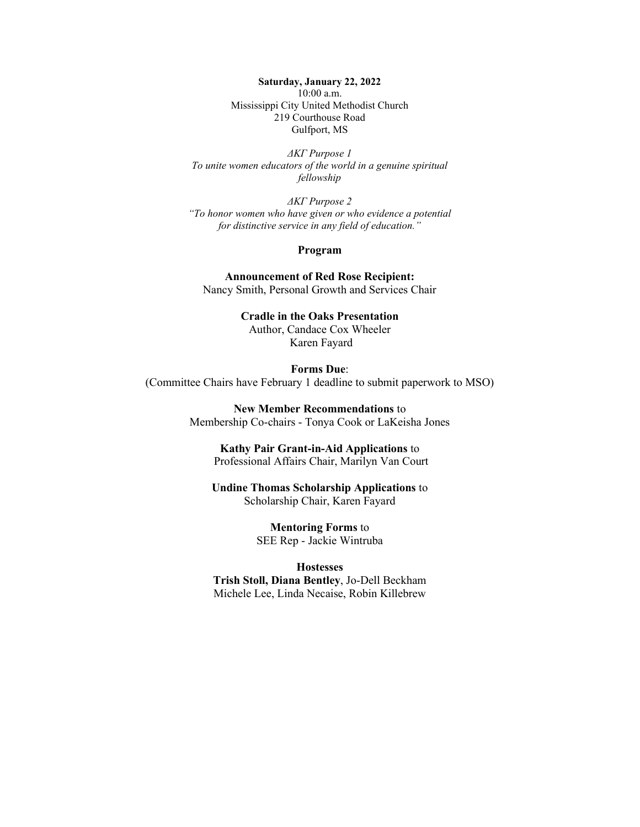**Saturday, January 22, 2022** 10:00 a.m. Mississippi City United Methodist Church 219 Courthouse Road Gulfport, MS

*ΔΚΓ Purpose 1 To unite women educators of the world in a genuine spiritual fellowship*

*ΔΚΓ Purpose 2 "To honor women who have given or who evidence a potential for distinctive service in any field of education."*

#### **Program**

**Announcement of Red Rose Recipient:**  Nancy Smith, Personal Growth and Services Chair

> **Cradle in the Oaks Presentation** Author, Candace Cox Wheeler Karen Fayard

**Forms Due**: (Committee Chairs have February 1 deadline to submit paperwork to MSO)

> **New Member Recommendations** to Membership Co-chairs - Tonya Cook or LaKeisha Jones

**Kathy Pair Grant-in-Aid Applications** to Professional Affairs Chair, Marilyn Van Court

**Undine Thomas Scholarship Applications** to Scholarship Chair, Karen Fayard

> **Mentoring Forms** to SEE Rep - Jackie Wintruba

**Hostesses Trish Stoll, Diana Bentley**, Jo-Dell Beckham

Michele Lee, Linda Necaise, Robin Killebrew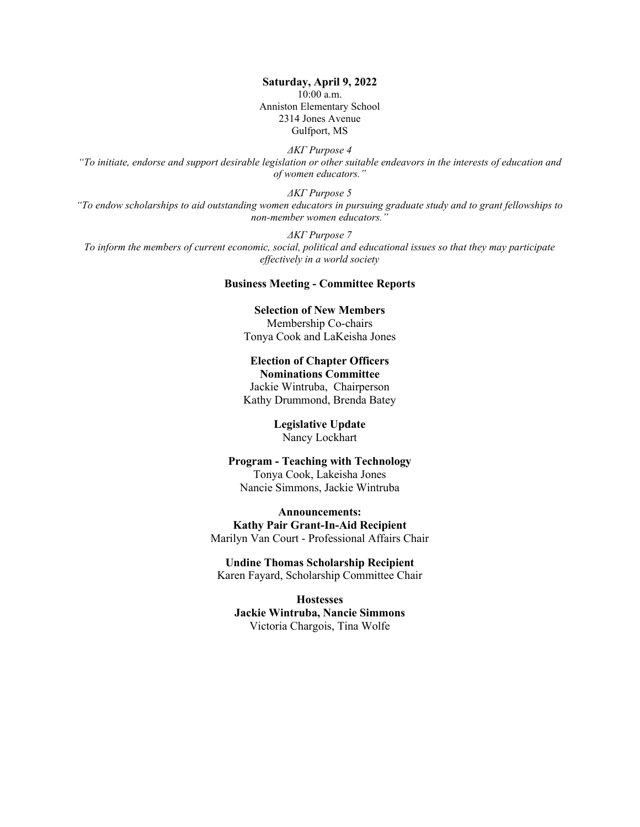**Saturday, April 9, 2022** 10:00 a.m. Anniston Elementary School 2314 Jones Avenue Gulfport, MS

*ΔΚΓ Purpose 4 "To initiate, endorse and support desirable legislation or other suitable endeavors in the interests of education and of women educators."*

*ΔΚΓ Purpose 5 "To endow scholarships to aid outstanding women educators in pursuing graduate study and to grant fellowships to non-member women educators."*

*ΔΚΓ Purpose 7 To inform the members of current economic, social, political and educational issues so that they may participate effectively in a world society*

#### **Business Meeting - Committee Reports**

**Selection of New Members** Membership Co-chairs Tonya Cook and LaKeisha Jones

**Election of Chapter Officers Nominations Committee**  Jackie Wintruba, Chairperson Kathy Drummond, Brenda Batey

> **Legislative Update** Nancy Lockhart

**Program - Teaching with Technology** Tonya Cook, Lakeisha Jones Nancie Simmons, Jackie Wintruba

**Announcements: Kathy Pair Grant-In-Aid Recipient** Marilyn Van Court - Professional Affairs Chair

**Undine Thomas Scholarship Recipient** Karen Fayard, Scholarship Committee Chair

**Hostesses Jackie Wintruba, Nancie Simmons** Victoria Chargois, Tina Wolfe